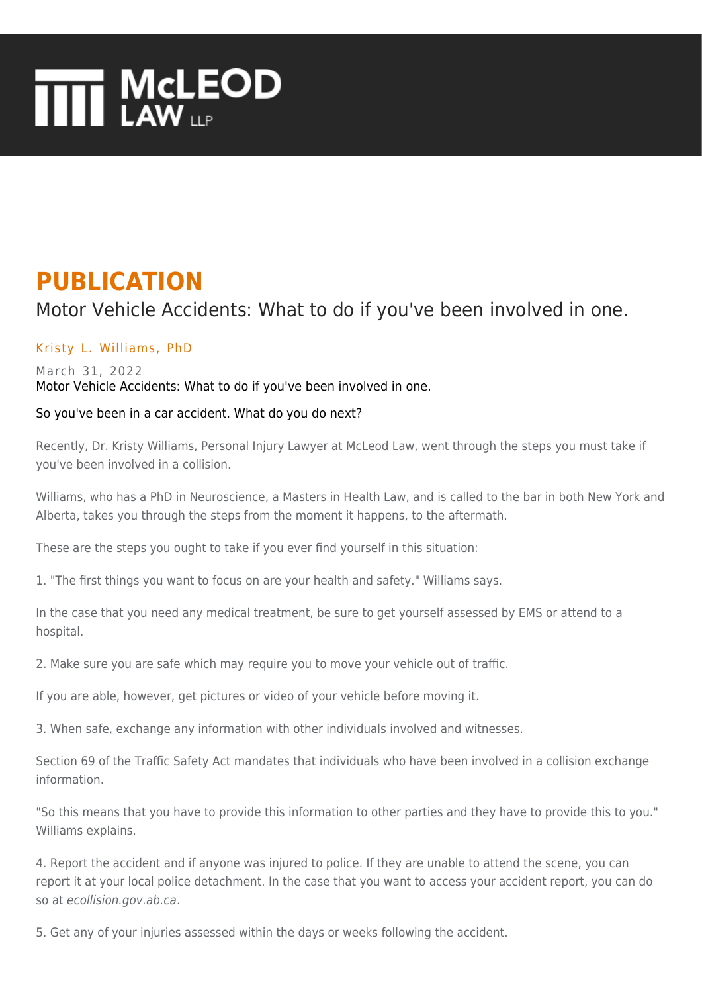# **THE MCLEOD**

## **PUBLICATION**

### Motor Vehicle Accidents: What to do if you've been involved in one.

#### [Kristy L. Williams, PhD](https://www.mcleod-law.com/professionals/kristy-l-williams-phd/)

#### March 31, 2022 Motor Vehicle Accidents: What to do if you've been involved in one.

#### So you've been in a car accident. What do you do next?

Recently, Dr. Kristy Williams, Personal Injury Lawyer at McLeod Law, went through the steps you must take if you've been involved in a collision.

Williams, who has a PhD in Neuroscience, a Masters in Health Law, and is called to the bar in both New York and Alberta, takes you through the steps from the moment it happens, to the aftermath.

These are the steps you ought to take if you ever find yourself in this situation:

1. "The first things you want to focus on are your health and safety." Williams says.

In the case that you need any medical treatment, be sure to get yourself assessed by EMS or attend to a hospital.

2. Make sure you are safe which may require you to move your vehicle out of traffic.

If you are able, however, get pictures or video of your vehicle before moving it.

3. When safe, exchange any information with other individuals involved and witnesses.

Section 69 of the Traffic Safety Act mandates that individuals who have been involved in a collision exchange information.

"So this means that you have to provide this information to other parties and they have to provide this to you." Williams explains.

4. Report the accident and if anyone was injured to police. If they are unable to attend the scene, you can report it at your local police detachment. In the case that you want to access your accident report, you can do so at ecollision.gov.ab.ca.

5. Get any of your injuries assessed within the days or weeks following the accident.